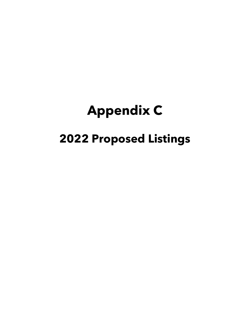## **Appendix C**

## **2022 Proposed Listings**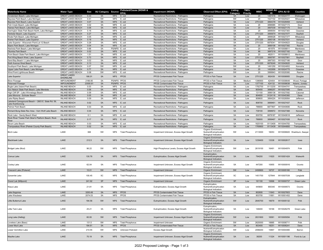| <b>Waterbody Name</b>                                | <b>Water Type</b>        | Size            | AU Category Source |                | Pollutant/Cause (WDNR &<br>EPA)                 | <b>Impairment (WDNR)</b>                                              | <b>Observed Effect (EPA)</b>                                                   | Listing<br>Category | <b>TMDL</b><br>Priority | <b>WBIC</b>      | ID              | WDNR AU EPA AU ID        | <b>Counties</b>             |
|------------------------------------------------------|--------------------------|-----------------|--------------------|----------------|-------------------------------------------------|-----------------------------------------------------------------------|--------------------------------------------------------------------------------|---------------------|-------------------------|------------------|-----------------|--------------------------|-----------------------------|
| Amsterdam Beach, Lake Michigan                       | <b>GREAT LAKES BEACH</b> | 0.33            | 5A                 | <b>NPS</b>     | E. coli                                         | Recreational Restrictions - Pathogens                                 | Pathogens                                                                      | 5A                  | Low                     | 20               | 1487416         | WI10024777               | Sheboygan                   |
| Bayview Park Beach, Lake Michigar                    | <b>GREAT LAKES BEACH</b> | 0.41            | 5W                 | <b>NPS</b>     | E. coli                                         | Recreational Restrictions - Pathogens                                 | Pathogens                                                                      | 5W                  | Low                     | 20               | 1527102         | WI10025421               | Milwaukee                   |
| Bayview Park Beach, Lake Superior                    | <b>GREAT LAKES BEACH</b> | 0.07            | 5A                 | <b>NPS</b>     | E. coli                                         | Recreational Restrictions - Pathogens                                 | Pathogens                                                                      | 5A                  | Low                     | 2751220          | 3894378         | WI10026958               | Ashland                     |
| Fish Creek Beach, Lake Michigan                      | <b>GREAT LAKES BEACH</b> | 0.02            | 5A                 | <b>NPS</b>     | E. coli                                         | Recreational Restrictions - Pathogens                                 | Pathogens                                                                      | 5A                  | Low                     | 20               | 3896985         | WI10027173               | Door                        |
| Haines Park Beach, Lake Michigan                     | <b>GREAT LAKES BEACH</b> | 0.06            | 5A                 | <b>NPS</b>     | E. coli                                         | Recreational Restrictions - Pathogens                                 | Pathogens                                                                      | 5A                  | Low                     | 20               | 3897039         | WI10027175               | Door                        |
| Harrington State Park Beach North, Lake Michigan     | <b>GREAT LAKES BEACH</b> | 0.16            | 5A                 | <b>NPS</b>     | E. coli                                         | Recreational Restrictions - Pathogens                                 | Pathogens                                                                      | 5A                  | Low                     | 20               | 3899054         | WI10027383               | Ozaukee                     |
| Herbster Beach, Lake Superior                        | <b>GREAT LAKES BEACH</b> | 0.27            | 5A                 | <b>NPS</b>     | E. coli                                         | Recreational Restrictions - Pathogens                                 | Pathogens                                                                      | 5A                  | Low                     | 2751220          | 3895679         | WI10027077               | Bayfield                    |
| Klode Park Beach, Lake Michigan                      | <b>GREAT LAKES BEACH</b> | 0.05            | 5A                 | <b>NPS</b>     | E. coli                                         | Recreational Restrictions - Pathogens                                 | Pathogens                                                                      | 5A                  | Low                     | 20               | 3899028         | WI10027377               | Milwaukee                   |
| Kreher Park Beach, Lake Superior                     | <b>GREAT LAKES BEACH</b> | 0.18            | 5A                 | <b>NPS</b>     | E. coli                                         | Recreational Restrictions - Pathogens                                 | Pathogens                                                                      | 5A                  | Low                     | 2751220          | 3895108         | WI10027031               | Ashland                     |
| Lake Superior - Wisconsin Point Lot 12 Beach         | <b>GREAT LAKES BEACH</b> | 0.28            | 5A                 | <b>NPS</b>     | E. coli                                         | Recreational Restrictions - Pathogens                                 | Pathogens                                                                      | 5A                  | Low                     | 2751220          | 6878341         | WI10040623               | Douglas                     |
| Myers Park Beach, Lake Michigan                      | <b>GREAT LAKES BEACH</b> | 0.04            | 5A                 | <b>NPS</b>     | E. coli                                         | Recreational Restrictions - Pathogens                                 | Pathogens                                                                      | 5A                  | Low                     | 20               | 3899108         | WI10027392               | Racine                      |
| Neshota Park Beach, Lake Michigan                    | <b>GREAT LAKES BEACH</b> | 0.68            | 5A                 | PS/NPS E. coli |                                                 | Recreational Restrictions - Pathogens                                 | Pathogens                                                                      | 5A                  | Low                     | 20               | 481979          | WI10008811               | Manitowoc                   |
| Otumba Park Beach                                    | <b>GREAT LAKES BEACH</b> | 0.02            | 5A                 | <b>NPS</b>     | E. coli                                         | Recreational Restrictions - Pathogens                                 | Pathogens                                                                      | 5A                  | Low                     | 88               | 3897218         | WI10027182               | Door                        |
| Point Beach State Park Beach, Lake Michigan          | <b>GREAT LAKES BEACH</b> | 1.51            | 5A                 | <b>NPS</b>     | E. coli                                         | Recreational Restrictions - Pathogens                                 | Pathogens                                                                      | 5A                  | Low                     | 20               | 482011          | WI10008812               | Manitowoc                   |
| Port Wing Beach West, Lake Superior                  | <b>GREAT LAKES BEACH</b> | 0.73            | 5A                 | <b>NPS</b>     | E. coli                                         | Recreational Restrictions - Pathogens                                 | Pathogens                                                                      | 5A                  | Low                     | 2751220          | 3895787         | WI10027081               | Bayfield                    |
| Sand Bay Beach 1, Lake Michigan                      | <b>GREAT LAKES BEACH</b> | 0.02            | 5A                 | <b>NPS</b>     | E. coli                                         | Recreational Restrictions - Pathogens                                 | Pathogens                                                                      | 5A                  | Low                     | 20               | 3897303         | WI10027186               | Door                        |
| Sixth Avenue West Beach                              | <b>GREAT LAKES BEACH</b> | 0.13            | 5A                 | <b>NPS</b>     | E. coli                                         | Recreational Restrictions - Pathogens                                 | Pathogens                                                                      | 5A                  | Low                     | 2751220          | 6878249         | WI10040620               | Ashland                     |
| Southport Park Beach, Lake Michigan                  | <b>GREAT LAKES BEACH</b> | 0.07            | 5W                 | <b>NPS</b>     | E. coli                                         | Recreational Restrictions - Pathogens                                 | Pathogens                                                                      | 5W                  | Low                     | 20               | 1491250         | WI10024852               | Kenosha                     |
| Upper Lake Park Beach, Lake Michigan                 | <b>GREAT LAKES BEACH</b> | 0.77            | 5A                 | <b>NPS</b>     | E. coli                                         | Recreational Restrictions - Pathogens                                 | Pathogens                                                                      | 5A                  | Low                     | 20               | 1452959         | WI10024775               | Ozaukee                     |
| Wind Point Lighthouse Beach                          | <b>GREAT LAKES BEACH</b> | 0.08            | 5W                 | <b>NPS</b>     | E. coli                                         | Recreational Restrictions - Pathogens                                 | Pathogens                                                                      | 5W                  | Low                     | 20               | 3999943         | WI10029380               | Racine                      |
|                                                      | <b>GREAT LAKES</b>       |                 |                    |                |                                                 |                                                                       |                                                                                |                     |                         |                  |                 |                          |                             |
| Lake Superior                                        | <b>SHORELINE</b>         | 186.01          | 5A                 | <b>NPS</b>     | <b>PFOS</b>                                     | PFOS Contaminated Fish Tissue                                         | PFOS in Fish Tissue                                                            | 5A                  | Low                     | 2751220          | 892439          | WI10008955               | Douglas                     |
| <b>Biron Flowage</b>                                 | <b>IMPOUNDMENT</b>       | 2186.95         | 5A                 | PS/NPS PFOS    |                                                 | PFOS Contaminated Fish Tissue                                         | PFOS in Fish Tissue                                                            | 5A                  | Medium                  | 1396900          | 424404          | WI10008648               | Wood, Portage               |
| Petenwell Flowage                                    | <b>IMPOUNDMENT</b>       | 23000.81        | 5A                 | PS/NPS PFOS    |                                                 | PFOS Contaminated Fish Tissue                                         | PFOS in Fish Tissue                                                            | 5A                  | Low                     | 1377100          | 424132          | WI10008638               | Adams, Juneau               |
| Bugle Lake (Island Park Beach)                       | <b>INLAND BEACH</b>      | 0.03            | 5A                 | <b>NPS</b>     | E. coli                                         | Recreational Restrictions - Pathogens                                 | Pathogens                                                                      | 5A                  | Low                     | 1782700          | 8113230         | WI10044741               | Trempealeau                 |
| Gov Nelson State Park Beach, Lake Mendota            | <b>INLAND BEACH</b>      | 0.08            | 5A                 | <b>NPS</b>     | E. coli                                         | Recreational Restrictions - Pathogens                                 | Pathogens                                                                      | 5A                  | Low                     | 805400           | 3896257         | WI10027095               | Dane                        |
| High Cliff SP - Lake Winnebago Beach                 | <b>INLAND BEACH</b>      | 0.09            | 5A                 | <b>NPS</b>     | E. coli                                         | Recreational Restrictions - Pathogens                                 | Pathogens                                                                      | 5A                  | Low                     | 131100           | 3896136         | WI10027092               | Calumet                     |
| Lake Monona - Schluter Beach                         | <b>INLAND BEACH</b>      | 0.05            | 5A                 | <b>NPS</b>     | E. coli                                         | Recreational Restrictions - Pathogens                                 | Pathogens                                                                      | 5A                  | Low                     | 804600           | 9124116         | WI10045360               | Dane                        |
| Lake Ripley Beach                                    | <b>INLAND BEACH</b>      | 0.09            | 5A                 | NPS            | E. coli                                         | Recreational Restrictions - Pathogens                                 | Pathogens                                                                      | 5A                  | Low                     | 809600           | 3894224         | WI10026954               | Jefferson                   |
| Lakeland Campground Beach -- 2803 E. State Rd. 59,   |                          |                 |                    |                |                                                 |                                                                       |                                                                                |                     |                         |                  |                 |                          |                             |
| Lake Koshkonong                                      | <b>INLAND BEACH</b>      | 0.02            | 5A                 | <b>NPS</b>     | E. coli                                         | Recreational Restrictions - Pathogens                                 | Pathogens                                                                      | 5A                  | Low                     | 808700           | 3899461         | WI10027437               | Rock                        |
| Palmer Park Beach                                    | <b>INLAND BEACH</b>      | 0.03            | 5A                 | <b>NPS</b>     | E. coli                                         | Recreational Restrictions - Pathogens                                 | Pathogens                                                                      | 5A                  | Low                     | 796800           | 6877807         | WI10040606               | Rock                        |
| Richard Bong State Rec Area - Vern Wolf Lake Beach   | <b>INLAND BEACH</b>      | 0.04            | 5A                 | <b>NPS</b>     | E. coli                                         | Recreational Restrictions - Pathogens                                 | Pathogens                                                                      | 5A                  | Low                     | 739100           | 3898972         | WI10027368               | Kenosha                     |
| Rock Lake - Sandy Beach West                         | <b>INLAND BEACH</b>      | 0.1             | 5A                 | NPS            | E. coli                                         | Recreational Restrictions - Pathogens                                 |                                                                                | 5A                  | Low                     | 830700           | 6878187         | WI10040618               | Jefferson                   |
| Rock River Traxler Park Skier's Platform Beach, Rock |                          |                 |                    |                |                                                 |                                                                       | Pathogens                                                                      |                     |                         |                  |                 |                          |                             |
| River                                                | <b>INLAND BEACH</b>      | 0.17            | 5A                 | <b>NPS</b>     | E. coli                                         | Recreational Restrictions - Pathogens                                 | Pathogens                                                                      | 5A                  | Low                     | 788800           | 3899467         | WI10027438               | Rock                        |
| Strum Lake Beach                                     | <b>INLAND BEACH</b>      | 0.03            | 5A                 | <b>NPS</b>     | E. coli                                         | Recreational Restrictions - Pathogens                                 | Pathogens                                                                      | 5A                  | Low                     | 1825100          | 8113409         | WI10044783               | Trempealeau                 |
|                                                      |                          |                 |                    |                | E. coli                                         | Recreational Restrictions - Pathogens                                 |                                                                                |                     |                         |                  |                 | WI10044800               |                             |
|                                                      |                          |                 |                    |                |                                                 |                                                                       |                                                                                |                     |                         |                  |                 |                          |                             |
| Trempealeau River (Pietrek County Park Beach)        | <b>INLAND BEACH</b>      | 0.02            | 5A                 | <b>NPS</b>     |                                                 |                                                                       | Pathogens                                                                      | 5A                  | Low                     | 1769900          | 8113439         |                          | Trempealeau                 |
| Birch Lake                                           | LAKE                     | 368             | 5W                 | NPS            | <b>Total Phosphorus</b>                         | Impairment Unknown, Excess Algal Growth                               | Organic Enrichment,<br>Nutrient/Eutrophication<br><b>Biological Indicators</b> | 5W                  | Low                     | 2113000          | 16053           |                          | WI10006820 Washburn, Sawyer |
| <b>Blackhawk Lake</b>                                | LAKE                     | 212.5           | 5A                 | <b>NPS</b>     | <b>Total Phosphorus</b>                         | Impairment Unknown, Excess Algal Growth                               | Organic Enrichment,<br>Nutrient/Eutrophication                                 | 5A                  | Low                     | 1239400          | 13338           | WI10002617               | lowa                        |
| Bridget Lake (Mud)                                   | LAKE                     | 96.22           | 5W                 | NPS            | <b>Total Phosphorus</b>                         | High Phosphorus Levels, Excess Algal Growth                           | <b>Biological Indicators</b><br>Organic Enrichment,<br>Nutrient/Eutrophication | 5W                  | Low                     | 2619100          | 16491           | WI10004974               | Polk                        |
| Comus Lake                                           | LAKE                     | 130.76          | 5A                 |                | NPS Total Phosphorus                            | Eutrophication, Excess Algal Growth                                   | <b>Biological Indicators</b><br>Eutrophication<br>Nutrient/Eutrophication      | 5A                  | Low                     | 794200           | 11620           | WI10001424               | Walworth                    |
|                                                      | LAKE                     |                 | 5A                 | <b>NPS</b>     |                                                 |                                                                       | <b>Biological Indicators</b><br>Organic Enrichment,                            |                     | Low                     | 447200           |                 |                          | Oconto                      |
| Cooley Lake                                          |                          | 62.04           |                    |                | <b>Total Phosphorus</b>                         | Impairment Unknown, Excess Algal Growth                               | Nutrient/Eutrophication<br><b>Biological Indicators</b>                        | 5A                  |                         |                  | 10955           | WI10000916               |                             |
| Crescent Lake (Pickerel)                             | LAKE                     | 15.01           | 5W                 | <b>NPS</b>     | <b>Total Phosphorus</b>                         | Impairment Unknown                                                    | Organic Enrichment                                                             | 5W                  | Low                     | 2458900          | 16737           | WI10005180               | Polk                        |
| Dynamite Lake                                        | LAKE                     | 100.45          | 5C                 | NPS            | <b>Total Phosphorus</b>                         | Impairment Unknown, Excess Algal Growth                               | Organic Enrichment,<br>Nutrient/Eutrophication                                 | 5C                  | Low                     | 1451700          | 127844          | WI10007039               | Langlade                    |
|                                                      |                          |                 |                    |                |                                                 |                                                                       | <b>Biological Indicators</b>                                                   |                     |                         |                  |                 |                          |                             |
| Grand Lak (Millpond)<br>Klaus Lake                   | LAKE<br>LAKE             | 241.92<br>21.81 | 5P<br>5A           | <b>NPS</b>     | <b>Total Phosphorus</b><br>NPS Total Phosphorus | Impairment Unknown<br>Eutrophication, Excess Algal Growth             | Organic Enrichment<br>Eutrophication<br>Nutrient/Eutrophication                | 5P<br>5A            | Low<br>Low              | 161100<br>445800 | 10696<br>900340 | WI10000737<br>WI10009573 | Green Lake<br>Oconto        |
|                                                      |                          |                 |                    |                |                                                 |                                                                       | <b>Biological Indicators</b>                                                   |                     |                         |                  |                 |                          |                             |
| Lake Kegonsa                                         | LAKE                     | 3200.49         | ЭA                 | NPS PFOS       |                                                 | PFOS Contaminated Fish Tissue                                         | <b>PFOS IN FISH LISSUE</b>                                                     | 5A                  | <b>LOW</b>              | 802600           | 11643           | WI10027603               | Dane                        |
| Lake Waubesa                                         | LAKE                     | 2074.53         | 5A                 | <b>NPS</b>     | <b>PFOS</b>                                     | PFOS Contaminated Fish Tissue                                         | PFOS in Fish Tissue                                                            | 5A                  | Low                     | 803700           | 11661           | WI10001452               | Dane                        |
| Little Butternut Lake                                | LAKE                     | 184.56          | 5W                 |                | NPS Total Phosphorus                            | Eutrophication, Excess Algal Growth                                   | Eutrophication,<br>Nutrient/Eutrophication<br><b>Biological Indicators</b>     | 5W                  | Low                     | 2640700          | 16679           | WI10005132               | Polk                        |
| Little Twin Lake                                     | LAKE                     | 25.21           | 5A                 |                | NPS Total Phosphorus                            | Eutrophication, Excess Algal Growth                                   | Eutrophication,<br>Nutrient/Eutrophication<br><b>Biological Indicators</b>     | 5A                  | Low                     | 146400           | 18168           | WI10026278               | Green Lake                  |
| Long Lake (Helbig)                                   | LAKE                     | 60.93           | 5W                 | <b>NPS</b>     | <b>Total Phosphorus</b>                         | Impairment Unknown, Excess Algal Growth                               | Organic Enrichment,<br>Nutrient/Eutrophication                                 | 5W                  | Low                     | 2631600          | 16581           | WI10005054               | Polk                        |
|                                                      |                          |                 |                    |                |                                                 |                                                                       | <b>Biological Indicators</b>                                                   |                     |                         |                  |                 |                          |                             |
| Loveless Lake (Bass)                                 | LAKE                     | 131.5           | 5W                 | <b>NPS</b>     | <b>Total Phosphorus</b>                         | Impairment Unknown                                                    | Organic Enrichment                                                             | 5W                  | Low                     | 2620000          | 18885           | WI10006711               | Polk                        |
| Lower Mud Lake                                       | LAKE                     | 184.61          | 5A                 | <b>NPS</b>     | PFOS                                            | PFOS Contaminated Fish Tissue                                         | PFOS in Fish Tissue<br>Nutrient/Eutrophication                                 | 5A                  | Low                     | 803400           | 18251           | WI10006241               | Dane                        |
| Lower Vermillion Lake<br>Mauthe Lake                 | LAKE                     | 214.55          | 5W                 |                | NPS Unknown Pollutant                           | <b>Excess Algal Growth</b><br>Impairment Unknown, Excess Algal Growth | <b>Biological Indicators</b><br>Organic Enrichment,                            | 5W                  | Low                     | 2098200          | 15867           | WI10004480               | Barron                      |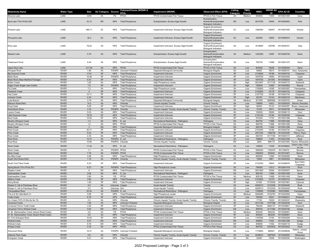| <b>Waterbody Name</b>                                  | <b>Water Type</b>            | Size           | AU Category Source |                            | Pollutant/Cause (WDNR &<br>EPA)                    | <b>Impairment (WDNR)</b>                                               | <b>Observed Effect (EPA)</b>                            | Listing<br>Category | <b>TMDL</b><br>Priority | <b>WBIC</b>        | ID                 | WDNR AU EPA AU ID        | <b>Counties</b>              |
|--------------------------------------------------------|------------------------------|----------------|--------------------|----------------------------|----------------------------------------------------|------------------------------------------------------------------------|---------------------------------------------------------|---------------------|-------------------------|--------------------|--------------------|--------------------------|------------------------------|
| Monona Lake                                            | LAKE                         | 3359           | 5A                 | PS                         | PFOS                                               | PFOS Contaminated Fish Tissue                                          | PFOS in Fish Tissue                                     | 5A                  | Medium                  | 804600             | 11665              | WI10001455               | Dane                         |
|                                                        |                              |                |                    |                            |                                                    |                                                                        | Eutrophication                                          |                     |                         |                    |                    |                          |                              |
| Mud Lake T33n R18w S35                                 | LAKE                         | 43.13          | 5W                 | <b>NPS</b>                 | <b>Total Phosphorus</b>                            | Eutrophication, Excess Algal Growth                                    | Nutrient/Eutrophication<br><b>Biological Indicators</b> | 5W                  | Low                     | 2615700            | 16454              | WI10004943               | Polk                         |
|                                                        |                              |                |                    |                            |                                                    |                                                                        | Organic Enrichment,                                     |                     |                         |                    |                    |                          |                              |
| Pickerel Lake                                          | LAKE                         | 580.71         | 5C                 | NPS                        | <b>Total Phosphorus</b>                            | Impairment Unknown, Excess Algal Growth                                | Nutrient/Eutrophication                                 | 5C                  | Low                     | 1590400            | 128257             | WI10007405               | Oneida                       |
|                                                        |                              |                |                    |                            |                                                    |                                                                        | <b>Biological Indicators</b>                            |                     |                         |                    |                    |                          |                              |
| Porcupine Lake                                         | LAKE                         | 32.2           | 5C                 |                            | NPS Total Phosphorus                               | Impairment Unknown, Excess Algal Growth                                | Organic Enrichment,<br>Nutrient/Eutrophication          | 5C                  | Low                     | 443500             | 10953              | WI10000914               | Oconto                       |
|                                                        |                              |                |                    |                            |                                                    |                                                                        | <b>Biological Indicators</b>                            |                     |                         |                    |                    |                          |                              |
|                                                        |                              |                |                    |                            |                                                    |                                                                        | Organic Enrichment,                                     |                     |                         |                    |                    |                          |                              |
| Rice Lake                                              | LAKE                         | 79.02          | 5A                 | NPS                        | <b>Total Phosphorus</b>                            | Impairment Unknown, Excess Algal Growth                                | Nutrient/Eutrophication<br><b>Biological Indicators</b> | 5A                  | Low                     | 1618600            | 128786             | WI10026161               | Vilas                        |
|                                                        |                              |                |                    |                            |                                                    |                                                                        | Eutrophication,                                         |                     |                         |                    |                    |                          |                              |
| <b>Stewart Lake</b>                                    | LAKE                         | 5.79           | 5A                 |                            | NPS Total Phosphorus                               | Eutrophication, Excess Algal Growth                                    | Nutrient/Eutrophication                                 | 5A                  | Medium                  | 1252300            | 13487              | WI10002700               | Dane                         |
|                                                        |                              |                |                    |                            |                                                    |                                                                        | <b>Biological Indicators</b>                            |                     |                         |                    |                    |                          |                              |
| <b>Tiedemans Pond</b>                                  | LAKE                         | 9.44           | 5A                 | NPS                        | <b>Total Phosphorus</b>                            |                                                                        | Eutrophication<br>Nutrient/Eutrophication               | 5A                  | Low                     | 783740             | 11689              | WI10001475               | Dane                         |
|                                                        |                              |                |                    |                            |                                                    | Eutrophication, Excess Algal Growth                                    | <b>Biological Indicators</b>                            |                     |                         |                    |                    |                          |                              |
| <b>Upper Mud Lake</b>                                  | LAKE                         | 217.95         | 5A                 | <b>NPS</b>                 | <b>PFOS</b>                                        | PFOS Contaminated Fish Tissue                                          | PFOS in Fish Tissue                                     | 5A                  | Low                     | 804000             | 18256              | WI10006244               | Dane                         |
| Ahnapee River                                          | <b>RIVER</b>                 | 7.86           | 5A                 |                            | PS/NPS Unknown Pollutant                           | Degraded Biological Community                                          | <b>Biological Integrity</b>                             | 5A                  | Low                     | 94800              | 18073              | WI10006107               | Door, Kewaunee               |
| <b>Big Drywood Creek</b>                               | <b>RIVER</b>                 | 17.81          | 5P                 | <b>NPS</b>                 | <b>Total Phosphorus</b>                            | Impairment Unknown                                                     | Organic Enrichment                                      | 5P                  | Low                     | 2154800            | 16188              | WI10004732               | Chippewa                     |
| <b>Black River</b>                                     | <b>RIVER</b>                 | 15.48          | 5P<br>5P           | PS/NPS                     | <b>Total Phosphorus</b>                            | Impairment Unknown                                                     | Organic Enrichment                                      | 5P<br>5P            | Low                     | 1676700            | 14062              | WI10003050               | Taylor                       |
| Black River (Near Medford Flowage)                     | <b>RIVER</b>                 | 6.53           |                    | <b>NPS</b>                 | <b>Total Phosphorus</b>                            | Impairment Unknown                                                     | Organic Enrichment                                      |                     | Low                     | 1676700            | 201404             | WI10008204               | Taylor                       |
| <b>Button Creek</b><br>Eagle Creek (Eagle Lake Outlet) | <b>RIVER</b><br><b>RIVER</b> | 1.62<br>7.5    | 5A<br>5P           | <b>NPS</b>                 | <b>Total Phosphorus</b><br>PS/NPS Total Phosphorus | High Phosphorus Levels                                                 | Organic Enrichment<br>Organic Enrichment                | 5A<br>5P            | High<br>High            | 5041807<br>759500  | 9117125<br>10465   | WI10045172<br>WI10000560 | Walworth<br>Racine           |
| <b>Fly Creek</b>                                       | <b>RIVER</b>                 | 7.2            | 5A                 | <b>NPS</b>                 | <b>Total Phosphorus</b>                            | Impairment Unknown<br><b>High Phosphorus Levels</b>                    | Organic Enrichment                                      | 5A                  | Low                     | 1792600            | 14395              | WI10003287               | Trempealeau                  |
| <b>Frederick Creek</b>                                 | <b>RIVER</b>                 | $\overline{2}$ | 5P                 | <b>NPS</b>                 | <b>Total Phosphorus</b>                            | Impairment Unknown                                                     | Organic Enrichment                                      | 5P                  | Low                     | 2152900            | 16178              | WI10004722               | Chippewa                     |
| <b>Hay Creek</b>                                       | <b>RIVER</b>                 | 10.11          | 5P                 | <b>NPS</b>                 | <b>Total Phosphorus</b>                            | Impairment Unknown                                                     | Organic Enrichment                                      | 5P                  | Low                     | 2157700            | 16198              | WI10004740               | Chippewa                     |
| Johnson Creek                                          | <b>RIVER</b>                 | 4.43           | 5P                 | <b>NPS</b>                 | <b>Total Phosphorus</b>                            | Impairment Unknown                                                     | Organic Enrichment                                      | 5P                  | High                    | 84100              | 10143              | WI10000316               | Manitowoc                    |
| Juda Branch                                            | <b>RIVER</b>                 | 3.79           | 5A                 | <b>NPS</b>                 | <b>Total Phosphorus</b>                            | Degraded Biological Community                                          | <b>Biological Integrity</b>                             | 5A                  | Medium                  | 877500             | 6895664            | WI10040703               | Green                        |
| Kilbourn Road Ditch                                    | <b>RIVER</b>                 | 14.3           | 5A                 | <b>NPS</b>                 | Chloride                                           | <b>Chronic Aquatic Toxicity</b>                                        | <b>Chronic Toxicity</b>                                 | 5A                  | Low                     | 736900             | 10421              | WI10000524               | Racine, Kenosha              |
| King Creek                                             | <b>RIVER</b>                 | 5.65           | 5P                 | <b>NPS</b>                 | <b>Total Phosphorus</b>                            | Impairment Unknown                                                     | Organic Enrichment                                      | 5P                  | High                    | 89400              | 10133              | WI10000307               | Brown, Kewaunee              |
| Kinnickinnic River                                     | <b>RIVER</b>                 | 3.16           | 5A                 | PS/NPS                     | Chloride                                           | Chronic Aquatic Toxicity, Acute Aquatic Toxicity                       | <b>Chronic Toxicity, Toxicity</b>                       | 5A                  | Low                     | 15100              | 9973               | WI10008186               | Milwaukee                    |
| Larson Creek                                           | <b>RIVER</b>                 | 5.03           | 5A                 | <b>NPS</b>                 | <b>Total Phosphorus</b>                            | Impairment Unknown                                                     | Organic Enrichment                                      | 5A                  | Low                     | 100200             | 18083              | WI10006115               | Door                         |
| Little Drywood Creek                                   | <b>RIVER</b>                 | 19.78          | 5P                 | <b>NPS</b>                 | <b>Total Phosphorus</b>                            | Impairment Unknown                                                     | Organic Enrichment                                      | 5P                  | Low                     | 2155100            | 16190              | WI10026346               | Chippewa                     |
| Mud Creek                                              | <b>RIVER</b>                 | 10.05          | 5P                 | <b>NPS</b>                 | <b>Total Phosphorus</b>                            | Impairment Unknown                                                     | Organic Enrichment                                      | 5P                  | Low                     | 810300             | 11723              | WI10001499               | Dane                         |
| Murphy (Wingra) Creek                                  | <b>RIVER</b>                 | 1.2            | 5A                 | <b>NPS</b>                 | E. coli                                            | Recreational Restrictions - Pathogens                                  | Pathogens                                               | 5A                  | Low                     | 804700             | 11666              | WI10001456               | Dane                         |
| Murphy (Wingra) Creek                                  | <b>RIVER</b>                 | 1.2            | 5A                 | <b>NPS</b>                 | PFOS                                               | PFOS Contaminated Fish Tissue                                          | PFOS in Fish Tissue                                     | 5A                  | Low                     | 804700             | 11666              | WI10001456               | Dane                         |
| <b>Neda Creek</b>                                      | <b>RIVER</b>                 | $\mathbf{3}$   | 5W                 | <b>NPS</b>                 | <b>Total Phosphorus</b>                            | Degraded Biological Community                                          | <b>Biological Integrity</b>                             | 5W                  | Low                     | 859100             | 11464              | WI10001298               | Dodge                        |
| Paint Creek                                            | <b>RIVER</b>                 | 20.71          | 5P                 | <b>NPS</b>                 | <b>Total Phosphorus</b>                            | Impairment Unknown                                                     | Organic Enrichment                                      | 5P                  | Low                     | 2153200            | 16180              | WI10004724               | Chippewa                     |
| <b>Plum Creek</b>                                      | <b>RIVER</b>                 | 6.02           | 5P                 | <b>NPS</b>                 | <b>Total Phosphorus</b>                            | Impairment Unknown                                                     | Organic Enrichment                                      | 5P                  | Low                     | 2051300            | 1468708            | WI10024490               | Pierce, Pepin                |
| <b>Rock Creek</b>                                      | <b>RIVER</b>                 | 4.18           | 5A                 | <b>NPS</b>                 | <b>Total Phosphorus</b>                            | Impairment Unknown                                                     | Organic Enrichment                                      | 5P                  | Low                     | 830100             | 9117164            | WI10045173               | Jefferson                    |
| Rock River                                             | <b>RIVER</b>                 | 12.37          | 5A                 | PS/NPS E. coli             |                                                    | Recreational Restrictions - Pathogens                                  | Pathogens                                               | 5A                  | Low                     | 788800             | 11455              | WI10001290               | Rock                         |
| Root River                                             | <b>RIVER</b>                 | 14.66          | 5W                 |                            | PS/NPS Chloride                                    | <b>Chronic Aquatic Toxicity</b>                                        | <b>Chronic Toxicity</b>                                 | 5W                  | Low                     | 2900               | 896175             |                          | WI10027840 Racine, Milwaukee |
| <b>Silver Creek</b>                                    | <b>RIVER</b>                 | 11.44          | 5A                 | <b>NPS</b>                 | E. coli                                            | Recreational Restrictions - Pathogens                                  | Pathogens                                               | 5A                  | Low                     | 146800             | 11028              | WI10038624               | Green Lake, Fond             |
|                                                        |                              |                |                    |                            |                                                    |                                                                        |                                                         |                     |                         |                    |                    |                          | du Lac                       |
| Silver Creek<br><b>Silver Creek</b>                    | <b>RIVER</b><br><b>RIVER</b> | 1.7<br>7.76    | 5A<br>5A           | PS/NPS PFOS<br>PS/NPS PFOS |                                                    | PFOS Contaminated Fish Tissue<br>PFOS Contaminated Fish Tissue         | PFOS in Fish Tissue<br>PFOS in Fish Tissue              | 5A<br>5A            | Low<br>Low              | 1660500<br>1660500 | 1180470<br>949202  | WI1180470<br>WI10010407  | Monroe<br>Monroe             |
| Six Mile Creek                                         | <b>RIVER</b>                 | 3.58           | 5A                 | <b>NPS</b>                 | Total Phosphorus                                   | <b>High Phosphorus Levels</b>                                          | Organic Enrichment                                      | 5A                  | Low                     | 805500             | 11692              | WI10026265               | Dane                         |
| South 43rd Street Ditch                                | <b>RIVER</b>                 | 1.16           | 5A                 |                            | PS/NPS Chloride                                    | Chronic Aquatic Toxicity, Acute Aquatic Toxicity                       | <b>Chronic Toxicity, Toxicity</b>                       | 5A                  | Low                     | 15900              | 9981               | WI10000209               | Milwaukee                    |
|                                                        |                              |                |                    |                            |                                                    |                                                                        |                                                         |                     |                         |                    |                    |                          | Eau Claire,                  |
| South Fork Paint Creek                                 | <b>RIVER</b>                 | 6.03           | 5P                 | <b>NPS</b>                 | <b>Total Phosphorus</b>                            | Impairment Unknown                                                     | Organic Enrichment                                      | 5P                  | Low                     | 2153300            | 18842              | WI10006676               | Chippewa                     |
| Spring Brook T01n R13e S31                             | <b>RIVER</b>                 | 9.73           | 5A                 |                            | PS/NPS Total Phosphorus                            | <b>High Phosphorus Levels</b>                                          | Organic Enrichment                                      | 5A                  | Low                     | 790500             | 11613              | WI10001418               | Rock                         |
| <b>Staples Creek</b>                                   | <b>RIVER</b>                 | 8              | 5W                 | <b>NPS</b>                 | <b>Total Phosphorus</b>                            | Impairment Unknown                                                     | Organic Enrichment                                      | 5W                  | Low                     | 2631900            | 16584              | WI10005057               | Barron                       |
| Starkweather Creel                                     | <b>RIVER</b>                 | 3.65           | 5A                 | <b>NPS</b>                 | E. coli                                            | Recreational Restrictions - Pathogens                                  | Pathogens                                               | 5A                  | Low                     | 805100             | 11668              | WI10001458               | Dane                         |
| Starkweather Creek                                     | <b>RIVER</b>                 | 3.65           | 5A                 | PS                         | <b>PFOS</b>                                        | PFOS Contaminated Fish Tissue                                          | PFOS in Fish Tissue                                     | 5A                  | Medium                  | 805100             | 11668              | WI10001458               | Dane                         |
| <b>Stillson Creek</b>                                  | <b>RIVER</b>                 | 3.82           | 5P                 | <b>NPS</b>                 | <b>Total Phosphorus</b>                            | Impairment Unknown                                                     | Organic Enrichment                                      | $5\mathsf{P}$       | Low                     | 2153000            | 16179              | WI10004723               | Chippewa                     |
| <b>Stony Brook</b>                                     | <b>RIVER</b>                 | 1.84           | 5P                 | <b>NPS</b>                 | <b>Total Phosphorus</b>                            | Impairment Unknown                                                     | Organic Enrichment                                      | 5P                  | High                    | 81500              | 5735506            | WI10037981               | Calumet                      |
| Stream C, trib to Flambeau River                       | <b>RIVER</b>                 | 0.2            | 5A                 | Unknown Copper             |                                                    | <b>Acute Aquatic Toxicity</b>                                          | Toxicity                                                | 5A                  | Low                     | 4000013            | 9133320            | WI10045440               | Rusk                         |
| Stream C. trib to Flambeau River                       | <b>RIVER</b>                 | 0.2            | 5A                 | Unknown Zinc               |                                                    | <b>Acute Aquatic Toxicity</b>                                          | Toxicity                                                | 5A                  | Low                     | 4000013            | 9133320            | WI10045440               | Rusk                         |
| Trempealeau River                                      | <b>RIVER</b>                 | 20.44          | 5A                 | PS/NPS E. coli             |                                                    | Recreational Restrictions - Pathogens                                  | Pathogens                                               | 5A                  | Low                     | 1769900            | 8105983            | WI8105984                | Trempealeau                  |
| Trib to E Br Little Black Cr                           | <b>RIVER</b>                 | 0.96           | 5A                 | NPS                        | <b>Total Phosphorus</b>                            | <b>High Phosphorus Levels</b>                                          | Organic Enrichment                                      | 5A                  | Medium                  | 5008295            | 9122763            | WI10045260               | Taylor                       |
| <b>Turtle Creek</b><br>Un. Creek (T07n R 20e Se Se 15) | <b>RIVER</b><br><b>RIVER</b> | 6.79<br>2.5    | 5P<br>5A           | <b>NPS</b><br><b>NPS</b>   | <b>Total Phosphorus</b><br>Chloride                | Impairment Unknown<br>Chronic Aquatic Toxicity, Acute Aquatic Toxicity | Organic Enrichment<br>Chronic Toxicity, Toxicity        | 5P<br>5A            | Low<br>Low              | 790300<br>17100    | 18241<br>10029     | WI10006231<br>WI10000237 | Walworth<br>Waukesha         |
|                                                        |                              | 1.89           |                    |                            |                                                    |                                                                        |                                                         |                     |                         |                    |                    | WI10038338               |                              |
| <b>Unnamed Creek</b><br>Unnamed Trib to Turtle Creek   | <b>RIVER</b><br><b>RIVER</b> | 3.55           | 5A<br>5P           | <b>NPS</b><br><b>NPS</b>   | Unknown Pollutant<br><b>Total Phosphorus</b>       | Degraded Biological Community<br>Impairment Unknown                    | <b>Biological Integrity</b><br>Organic Enrichment       | 5A<br>5P            | Low<br>Low              | 5014158<br>794300  | 5747098<br>6854137 | WI10039841               | Door<br>Walworth             |
| Unnamed Trib to Wildcat Creek                          | <b>RIVER</b>                 | 0.93           | 5W                 | <b>NPS</b>                 | <b>Total Phosphorus</b>                            | Impairment Unknown                                                     | Organic Enrichment                                      | 5W                  | Low                     | 858700             | 9117494            | WI10045180               | Dodge                        |
| W. Br. Starkweather Creek (Airport Road Creek)         | <b>RIVER</b>                 | 2.6            | 5A                 | PS                         | <b>PFOS</b>                                        | PFOS Contaminated Fish Tissue                                          | PFOS in Fish Tissue                                     | 5A                  | Medium                  | 805200             | 893239             | WI10008957               | Dane                         |
| W. Br. Starkweather Creek (Airport Road Creek)         | <b>RIVER</b>                 | 2.6            | 5A                 | <b>NPS</b>                 | <b>Total Phosphorus</b>                            | Impairment Unknown                                                     | Organic Enrichment                                      | $5\mathsf{P}$       | Low                     | 805200             | 893239             | WI10008957               | Dane                         |
| W. Fork Kickapoo River                                 | <b>RIVER</b>                 | 10.34          | 5P                 | <b>NPS</b>                 | <b>Total Phosphorus</b>                            | Impairment Unknown                                                     | Organic Enrichment                                      | $5\mathsf{P}$       | Low                     | 1187900            | 13154              | WI10002508               | Vernon                       |
| <b>Wildcat Creek</b>                                   | <b>RIVER</b>                 | 5.07           | 5W                 | <b>NPS</b>                 | <b>Total Phosphorus</b>                            | Impairment Unknown                                                     | Organic Enrichment                                      | $5W$                | Low                     | 858600             | 11461              | WI10001296               | Dodge                        |
| <b>Wildcat Creek</b>                                   | <b>RIVER</b>                 | 8.78           | 5W                 | <b>NPS</b>                 | <b>Total Phosphorus</b>                            | Impairment Unknown                                                     | Organic Enrichment                                      | 5W                  | Low                     | 858600             | 11462              | WI10026119               | Dodge                        |
| <b>Wingra Creek</b>                                    | <b>RIVER</b>                 | 0.76           | 5A                 | <b>NPS</b>                 | PFOS                                               | PFOS Contaminated Fish Tissue                                          | PFOS in Fish Tissue                                     | 5A                  | Low                     | 804700             | 5533632            | WI10033422               | Dane                         |
|                                                        | <b>RIVER</b>                 |                |                    |                            |                                                    |                                                                        | <b>Biological Integrity</b>                             | 5A                  |                         |                    |                    | WI10008836               | Adams, Juneau                |
| <b>Wisconsin River</b>                                 |                              | 16.37          | 5A                 |                            | PS/NPS Unknown Pollutant                           | Degraded Biological Community                                          |                                                         |                     | Low                     | 1179900            | 885921             |                          | Wood                         |
| Zablocki Park Creek                                    | <b>RIVER</b>                 | 0.9            | 5A                 | <b>NPS</b>                 | Chloride                                           | Chronic Aquatic Toxicity, Acute Aquatic Toxicity                       | Chronic Toxicity, Toxicity                              | 5A                  | Low                     | 5036633            | 3987849            | WI10028282               | Milwaukee                    |
| Evergreen Creek                                        | <b>RIVER</b>                 | 5.21           | 4A                 | <b>NPS</b>                 | <b>Total Phosphorus</b>                            | Impairment Unknown                                                     | Organic Enrichment                                      | 4A                  | <b>NA</b>               | 23000              | 10058              | WI10000252               | Washington                   |